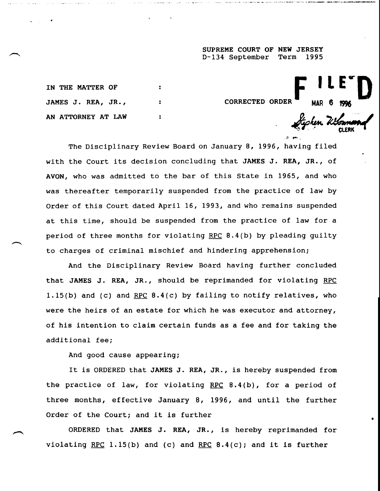**SUPREME COURT OF NEW JERSEY D-134 September Term 1995**

**CORRECTED ORDER** 

**F ILE D** 

Hyshen Wi

**IN THE MATTER OF JAMES J. REA, JR., AN ATTORNEY AT LAW**

The Disciplinary Review Board on January 8, 1996, having filed with the Court its decision concluding that JAMES J. REA, JR., of AVON, who was admitted to the bar of this State in 1965, and who was thereafter temporarily suspended from the practice of law by Order of this Court dated April 16, 1993, and who remains suspended at this time, should be suspended from the practice of law for a period of three months for violating RPC 8.4(b) by pleading guilty to charges of criminal mischief and hindering apprehension;

 $\ddot{z}$ 

 $\mathbf{r}$ 

And the Disciplinary Review Board having further concluded that JAMES J. REA, JR., should be reprimanded for violating RPC 1.15(b) and (c) and RPC  $8.4(c)$  by failing to notify relatives, who were the heirs of an estate for which he was executor and attorney, of his intention to claim certain funds as a fee and for taking the additional fee;

And good cause appearing;

It is ORDERED that JAMES J. REA, JR., is hereby suspended from the practice of law, for violating RPC  $8.4(b)$ , for a period of three months, effective January 8, 1996, and until the further Order of the Court; and it is further

ORDERED that JAMES J. REA, JR., is hereby reprimanded for violating RPC 1.15(b) and (c) and RPC 8.4(c); and it is further